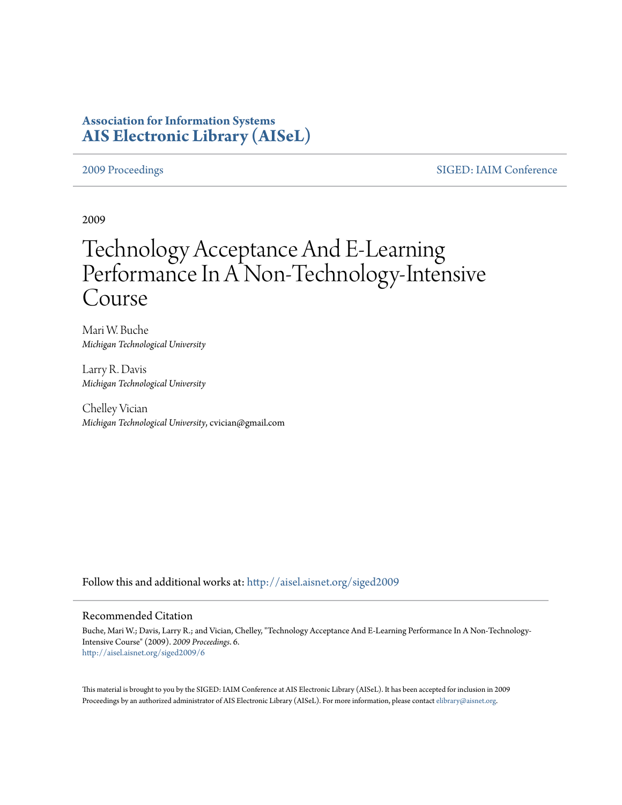# **Association for Information Systems [AIS Electronic Library \(AISeL\)](http://aisel.aisnet.org?utm_source=aisel.aisnet.org%2Fsiged2009%2F6&utm_medium=PDF&utm_campaign=PDFCoverPages)**

[2009 Proceedings](http://aisel.aisnet.org/siged2009?utm_source=aisel.aisnet.org%2Fsiged2009%2F6&utm_medium=PDF&utm_campaign=PDFCoverPages) [SIGED: IAIM Conference](http://aisel.aisnet.org/siged?utm_source=aisel.aisnet.org%2Fsiged2009%2F6&utm_medium=PDF&utm_campaign=PDFCoverPages)

2009

# Technology Acceptance And E-Learning Performance In A Non-Technology-Intensive Course

Mari W. Buche *Michigan Technological University*

Larry R. Davis *Michigan Technological University*

Chelley Vician *Michigan Technological University*, cvician@gmail.com

Follow this and additional works at: [http://aisel.aisnet.org/siged2009](http://aisel.aisnet.org/siged2009?utm_source=aisel.aisnet.org%2Fsiged2009%2F6&utm_medium=PDF&utm_campaign=PDFCoverPages)

## Recommended Citation

Buche, Mari W.; Davis, Larry R.; and Vician, Chelley, "Technology Acceptance And E-Learning Performance In A Non-Technology-Intensive Course" (2009). *2009 Proceedings*. 6. [http://aisel.aisnet.org/siged2009/6](http://aisel.aisnet.org/siged2009/6?utm_source=aisel.aisnet.org%2Fsiged2009%2F6&utm_medium=PDF&utm_campaign=PDFCoverPages)

This material is brought to you by the SIGED: IAIM Conference at AIS Electronic Library (AISeL). It has been accepted for inclusion in 2009 Proceedings by an authorized administrator of AIS Electronic Library (AISeL). For more information, please contact [elibrary@aisnet.org](mailto:elibrary@aisnet.org%3E).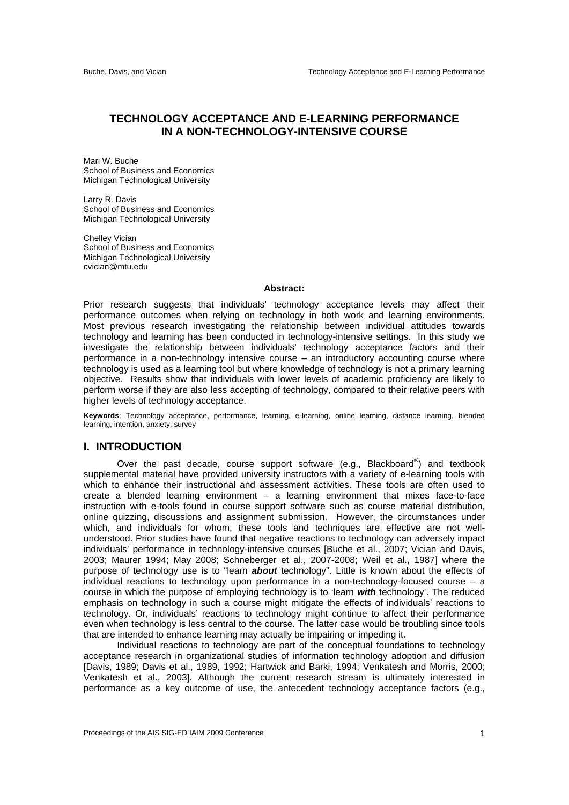# **TECHNOLOGY ACCEPTANCE AND E-LEARNING PERFORMANCE IN A NON-TECHNOLOGY-INTENSIVE COURSE**

Mari W. Buche School of Business and Economics Michigan Technological University

Larry R. Davis School of Business and Economics Michigan Technological University

Chelley Vician School of Business and Economics Michigan Technological University cvician@mtu.edu

#### **Abstract:**

Prior research suggests that individuals' technology acceptance levels may affect their performance outcomes when relying on technology in both work and learning environments. Most previous research investigating the relationship between individual attitudes towards technology and learning has been conducted in technology-intensive settings. In this study we investigate the relationship between individuals' technology acceptance factors and their performance in a non-technology intensive course – an introductory accounting course where technology is used as a learning tool but where knowledge of technology is not a primary learning objective. Results show that individuals with lower levels of academic proficiency are likely to perform worse if they are also less accepting of technology, compared to their relative peers with higher levels of technology acceptance.

**Keywords**: Technology acceptance, performance, learning, e-learning, online learning, distance learning, blended learning, intention, anxiety, survey

# **I. INTRODUCTION**

Over the past decade, course support software (e.g., Blackboard $^{\circledast}$ ) and textbook supplemental material have provided university instructors with a variety of e-learning tools with which to enhance their instructional and assessment activities. These tools are often used to create a blended learning environment – a learning environment that mixes face-to-face instruction with e-tools found in course support software such as course material distribution, online quizzing, discussions and assignment submission. However, the circumstances under which, and individuals for whom, these tools and techniques are effective are not wellunderstood. Prior studies have found that negative reactions to technology can adversely impact individuals' performance in technology-intensive courses [Buche et al., 2007; Vician and Davis, 2003; Maurer 1994; May 2008; Schneberger et al., 2007-2008; Weil et al., 1987] where the purpose of technology use is to "learn *about* technology". Little is known about the effects of individual reactions to technology upon performance in a non-technology-focused course – a course in which the purpose of employing technology is to 'learn *with* technology'. The reduced emphasis on technology in such a course might mitigate the effects of individuals' reactions to technology. Or, individuals' reactions to technology might continue to affect their performance even when technology is less central to the course. The latter case would be troubling since tools that are intended to enhance learning may actually be impairing or impeding it.

 Individual reactions to technology are part of the conceptual foundations to technology acceptance research in organizational studies of information technology adoption and diffusion [Davis, 1989; Davis et al., 1989, 1992; Hartwick and Barki, 1994; Venkatesh and Morris, 2000; Venkatesh et al., 2003]. Although the current research stream is ultimately interested in performance as a key outcome of use, the antecedent technology acceptance factors (e.g.,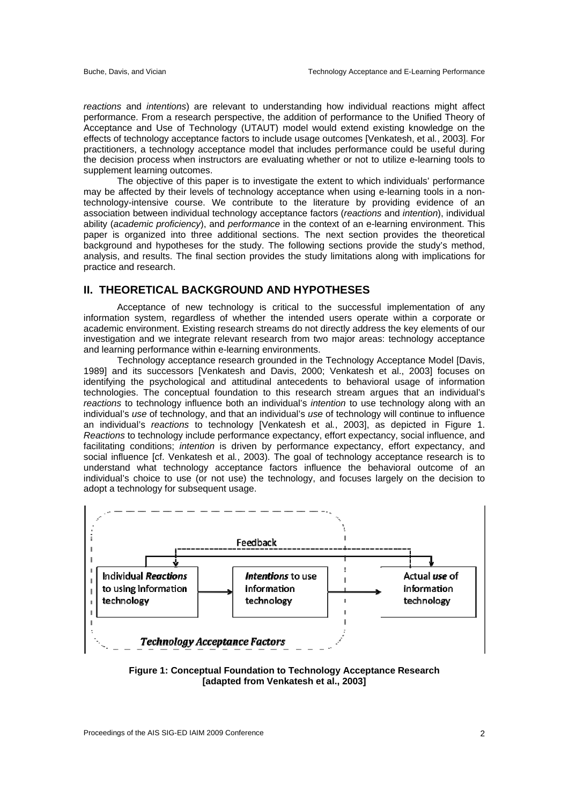*reactions* and *intentions*) are relevant to understanding how individual reactions might affect performance. From a research perspective, the addition of performance to the Unified Theory of Acceptance and Use of Technology (UTAUT) model would extend existing knowledge on the effects of technology acceptance factors to include usage outcomes [Venkatesh, et al*.*, 2003]. For practitioners, a technology acceptance model that includes performance could be useful during the decision process when instructors are evaluating whether or not to utilize e-learning tools to supplement learning outcomes.

 The objective of this paper is to investigate the extent to which individuals' performance may be affected by their levels of technology acceptance when using e-learning tools in a nontechnology-intensive course. We contribute to the literature by providing evidence of an association between individual technology acceptance factors (*reactions* and *intention*), individual ability (*academic proficiency*), and *performance* in the context of an e-learning environment. This paper is organized into three additional sections. The next section provides the theoretical background and hypotheses for the study. The following sections provide the study's method, analysis, and results. The final section provides the study limitations along with implications for practice and research.

# **II. THEORETICAL BACKGROUND AND HYPOTHESES**

 Acceptance of new technology is critical to the successful implementation of any information system, regardless of whether the intended users operate within a corporate or academic environment. Existing research streams do not directly address the key elements of our investigation and we integrate relevant research from two major areas: technology acceptance and learning performance within e-learning environments.

 Technology acceptance research grounded in the Technology Acceptance Model [Davis, 1989] and its successors [Venkatesh and Davis, 2000; Venkatesh et al., 2003] focuses on identifying the psychological and attitudinal antecedents to behavioral usage of information technologies. The conceptual foundation to this research stream argues that an individual's *reactions* to technology influence both an individual's *intention* to use technology along with an individual's *use* of technology, and that an individual's *use* of technology will continue to influence an individual's *reactions* to technology [Venkatesh et al*.*, 2003], as depicted in Figure 1. *Reactions* to technology include performance expectancy, effort expectancy, social influence, and facilitating conditions; *intention* is driven by performance expectancy, effort expectancy, and social influence [cf. Venkatesh et al*.*, 2003). The goal of technology acceptance research is to understand what technology acceptance factors influence the behavioral outcome of an individual's choice to use (or not use) the technology, and focuses largely on the decision to adopt a technology for subsequent usage.



**Figure 1: Conceptual Foundation to Technology Acceptance Research [adapted from Venkatesh et al., 2003]**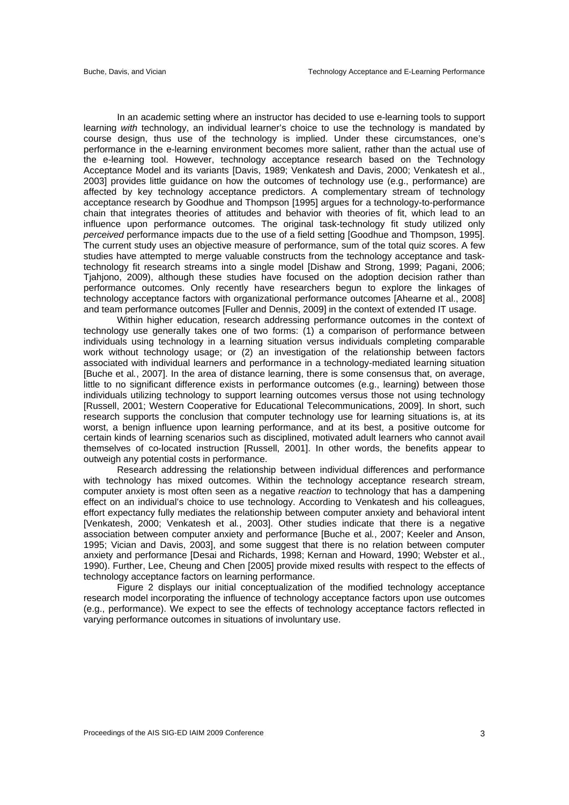In an academic setting where an instructor has decided to use e-learning tools to support learning *with* technology, an individual learner's choice to use the technology is mandated by course design, thus use of the technology is implied. Under these circumstances, one's performance in the e-learning environment becomes more salient, rather than the actual use of the e-learning tool. However, technology acceptance research based on the Technology Acceptance Model and its variants [Davis, 1989; Venkatesh and Davis, 2000; Venkatesh et al., 2003] provides little guidance on how the outcomes of technology use (e.g., performance) are affected by key technology acceptance predictors. A complementary stream of technology acceptance research by Goodhue and Thompson [1995] argues for a technology-to-performance chain that integrates theories of attitudes and behavior with theories of fit, which lead to an influence upon performance outcomes. The original task-technology fit study utilized only *perceived* performance impacts due to the use of a field setting [Goodhue and Thompson, 1995]. The current study uses an objective measure of performance, sum of the total quiz scores. A few studies have attempted to merge valuable constructs from the technology acceptance and tasktechnology fit research streams into a single model [Dishaw and Strong, 1999; Pagani, 2006; Tjahjono, 2009), although these studies have focused on the adoption decision rather than performance outcomes. Only recently have researchers begun to explore the linkages of technology acceptance factors with organizational performance outcomes [Ahearne et al., 2008] and team performance outcomes [Fuller and Dennis, 2009] in the context of extended IT usage.

 Within higher education, research addressing performance outcomes in the context of technology use generally takes one of two forms: (1) a comparison of performance between individuals using technology in a learning situation versus individuals completing comparable work without technology usage; or (2) an investigation of the relationship between factors associated with individual learners and performance in a technology-mediated learning situation [Buche et al*.*, 2007]. In the area of distance learning, there is some consensus that, on average, little to no significant difference exists in performance outcomes (e.g., learning) between those individuals utilizing technology to support learning outcomes versus those not using technology [Russell, 2001; Western Cooperative for Educational Telecommunications, 2009]. In short, such research supports the conclusion that computer technology use for learning situations is, at its worst, a benign influence upon learning performance, and at its best, a positive outcome for certain kinds of learning scenarios such as disciplined, motivated adult learners who cannot avail themselves of co-located instruction [Russell, 2001]. In other words, the benefits appear to outweigh any potential costs in performance.

 Research addressing the relationship between individual differences and performance with technology has mixed outcomes. Within the technology acceptance research stream, computer anxiety is most often seen as a negative *reaction* to technology that has a dampening effect on an individual's choice to use technology. According to Venkatesh and his colleagues, effort expectancy fully mediates the relationship between computer anxiety and behavioral intent [Venkatesh, 2000; Venkatesh et al*.*, 2003]. Other studies indicate that there is a negative association between computer anxiety and performance [Buche et al*.*, 2007; Keeler and Anson, 1995; Vician and Davis, 2003], and some suggest that there is no relation between computer anxiety and performance [Desai and Richards, 1998; Kernan and Howard, 1990; Webster et al., 1990). Further, Lee, Cheung and Chen [2005] provide mixed results with respect to the effects of technology acceptance factors on learning performance.

 Figure 2 displays our initial conceptualization of the modified technology acceptance research model incorporating the influence of technology acceptance factors upon use outcomes (e.g., performance). We expect to see the effects of technology acceptance factors reflected in varying performance outcomes in situations of involuntary use.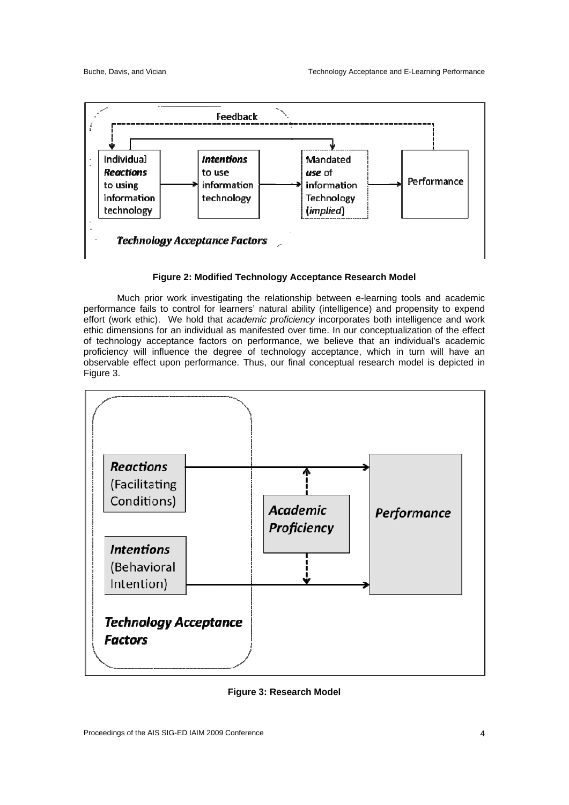

# **Figure 2: Modified Technology Acceptance Research Model**

 Much prior work investigating the relationship between e-learning tools and academic performance fails to control for learners' natural ability (intelligence) and propensity to expend effort (work ethic). We hold that *academic proficiency* incorporates both intelligence and work ethic dimensions for an individual as manifested over time. In our conceptualization of the effect of technology acceptance factors on performance, we believe that an individual's academic proficiency will influence the degree of technology acceptance, which in turn will have an observable effect upon performance. Thus, our final conceptual research model is depicted in Figure 3.



**Figure 3: Research Model**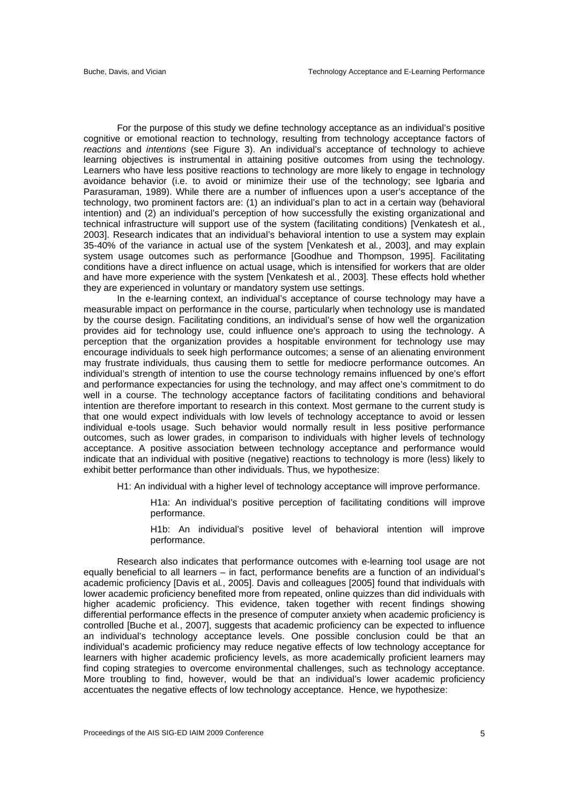For the purpose of this study we define technology acceptance as an individual's positive cognitive or emotional reaction to technology, resulting from technology acceptance factors of *reactions* and *intentions* (see Figure 3). An individual's acceptance of technology to achieve learning objectives is instrumental in attaining positive outcomes from using the technology. Learners who have less positive reactions to technology are more likely to engage in technology avoidance behavior (i.e. to avoid or minimize their use of the technology; see Igbaria and Parasuraman, 1989). While there are a number of influences upon a user's acceptance of the technology, two prominent factors are: (1) an individual's plan to act in a certain way (behavioral intention) and (2) an individual's perception of how successfully the existing organizational and technical infrastructure will support use of the system (facilitating conditions) [Venkatesh et al*.*, 2003]. Research indicates that an individual's behavioral intention to use a system may explain 35-40% of the variance in actual use of the system [Venkatesh et al*.*, 2003], and may explain system usage outcomes such as performance [Goodhue and Thompson, 1995]. Facilitating conditions have a direct influence on actual usage, which is intensified for workers that are older and have more experience with the system [Venkatesh et al*.*, 2003]. These effects hold whether they are experienced in voluntary or mandatory system use settings.

 In the e-learning context, an individual's acceptance of course technology may have a measurable impact on performance in the course, particularly when technology use is mandated by the course design. Facilitating conditions, an individual's sense of how well the organization provides aid for technology use, could influence one's approach to using the technology. A perception that the organization provides a hospitable environment for technology use may encourage individuals to seek high performance outcomes; a sense of an alienating environment may frustrate individuals, thus causing them to settle for mediocre performance outcomes. An individual's strength of intention to use the course technology remains influenced by one's effort and performance expectancies for using the technology, and may affect one's commitment to do well in a course. The technology acceptance factors of facilitating conditions and behavioral intention are therefore important to research in this context. Most germane to the current study is that one would expect individuals with low levels of technology acceptance to avoid or lessen individual e-tools usage. Such behavior would normally result in less positive performance outcomes, such as lower grades, in comparison to individuals with higher levels of technology acceptance. A positive association between technology acceptance and performance would indicate that an individual with positive (negative) reactions to technology is more (less) likely to exhibit better performance than other individuals. Thus, we hypothesize:

H1: An individual with a higher level of technology acceptance will improve performance.

H1a: An individual's positive perception of facilitating conditions will improve performance.

H1b: An individual's positive level of behavioral intention will improve performance.

 Research also indicates that performance outcomes with e-learning tool usage are not equally beneficial to all learners – in fact, performance benefits are a function of an individual's academic proficiency [Davis et al*.*, 2005]. Davis and colleagues [2005] found that individuals with lower academic proficiency benefited more from repeated, online quizzes than did individuals with higher academic proficiency. This evidence, taken together with recent findings showing differential performance effects in the presence of computer anxiety when academic proficiency is controlled [Buche et al*.*, 2007], suggests that academic proficiency can be expected to influence an individual's technology acceptance levels. One possible conclusion could be that an individual's academic proficiency may reduce negative effects of low technology acceptance for learners with higher academic proficiency levels, as more academically proficient learners may find coping strategies to overcome environmental challenges, such as technology acceptance. More troubling to find, however, would be that an individual's lower academic proficiency accentuates the negative effects of low technology acceptance. Hence, we hypothesize: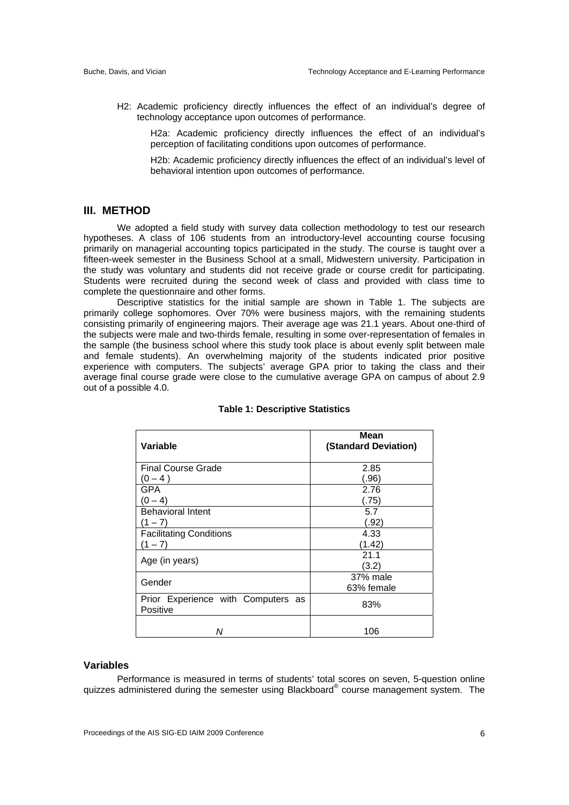H2: Academic proficiency directly influences the effect of an individual's degree of technology acceptance upon outcomes of performance.

H2a: Academic proficiency directly influences the effect of an individual's perception of facilitating conditions upon outcomes of performance.

H2b: Academic proficiency directly influences the effect of an individual's level of behavioral intention upon outcomes of performance.

# **III. METHOD**

 We adopted a field study with survey data collection methodology to test our research hypotheses. A class of 106 students from an introductory-level accounting course focusing primarily on managerial accounting topics participated in the study. The course is taught over a fifteen-week semester in the Business School at a small, Midwestern university. Participation in the study was voluntary and students did not receive grade or course credit for participating. Students were recruited during the second week of class and provided with class time to complete the questionnaire and other forms.

 Descriptive statistics for the initial sample are shown in Table 1. The subjects are primarily college sophomores. Over 70% were business majors, with the remaining students consisting primarily of engineering majors. Their average age was 21.1 years. About one-third of the subjects were male and two-thirds female, resulting in some over-representation of females in the sample (the business school where this study took place is about evenly split between male and female students). An overwhelming majority of the students indicated prior positive experience with computers. The subjects' average GPA prior to taking the class and their average final course grade were close to the cumulative average GPA on campus of about 2.9 out of a possible 4.0.

| Variable                                       | Mean<br>(Standard Deviation) |
|------------------------------------------------|------------------------------|
| <b>Final Course Grade</b>                      | 2.85                         |
| $(0 - 4)$                                      | (.96)                        |
| <b>GPA</b>                                     | 2.76                         |
| $(0 - 4)$                                      | (.75)                        |
| <b>Behavioral Intent</b>                       | 5.7                          |
| $(1 - 7)$                                      | (.92)                        |
| <b>Facilitating Conditions</b>                 | 4.33                         |
| $(1 - 7)$                                      | (1.42)                       |
| Age (in years)                                 | 21.1                         |
|                                                | (3.2)                        |
| Gender                                         | 37% male                     |
|                                                | 63% female                   |
| Prior Experience with Computers as<br>Positive | 83%                          |
| Ν                                              | 106                          |

#### **Table 1: Descriptive Statistics**

#### **Variables**

 Performance is measured in terms of students' total scores on seven, 5-question online quizzes administered during the semester using Blackboard® course management system. The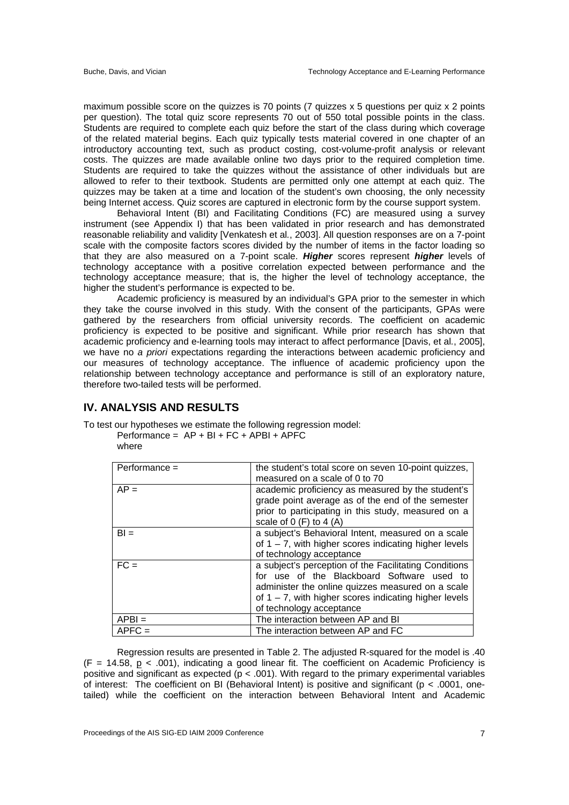maximum possible score on the quizzes is 70 points (7 quizzes x 5 questions per quiz x 2 points per question). The total quiz score represents 70 out of 550 total possible points in the class. Students are required to complete each quiz before the start of the class during which coverage of the related material begins. Each quiz typically tests material covered in one chapter of an introductory accounting text, such as product costing, cost-volume-profit analysis or relevant costs. The quizzes are made available online two days prior to the required completion time. Students are required to take the quizzes without the assistance of other individuals but are allowed to refer to their textbook. Students are permitted only one attempt at each quiz. The quizzes may be taken at a time and location of the student's own choosing, the only necessity being Internet access. Quiz scores are captured in electronic form by the course support system.

 Behavioral Intent (BI) and Facilitating Conditions (FC) are measured using a survey instrument (see Appendix I) that has been validated in prior research and has demonstrated reasonable reliability and validity [Venkatesh et al*.*, 2003]. All question responses are on a 7-point scale with the composite factors scores divided by the number of items in the factor loading so that they are also measured on a 7-point scale. *Higher* scores represent *higher* levels of technology acceptance with a positive correlation expected between performance and the technology acceptance measure; that is, the higher the level of technology acceptance, the higher the student's performance is expected to be.

 Academic proficiency is measured by an individual's GPA prior to the semester in which they take the course involved in this study. With the consent of the participants, GPAs were gathered by the researchers from official university records. The coefficient on academic proficiency is expected to be positive and significant. While prior research has shown that academic proficiency and e-learning tools may interact to affect performance [Davis, et al*.*, 2005], we have no *a priori* expectations regarding the interactions between academic proficiency and our measures of technology acceptance. The influence of academic proficiency upon the relationship between technology acceptance and performance is still of an exploratory nature, therefore two-tailed tests will be performed.

# **IV. ANALYSIS AND RESULTS**

To test our hypotheses we estimate the following regression model:

 $Performance = AP + BI + FC + APBI + APFC$ where

| Performance = | the student's total score on seven 10-point quizzes,     |  |
|---------------|----------------------------------------------------------|--|
|               | measured on a scale of 0 to 70                           |  |
| $AP =$        | academic proficiency as measured by the student's        |  |
|               | grade point average as of the end of the semester        |  |
|               | prior to participating in this study, measured on a      |  |
|               | scale of $0$ (F) to $4$ (A)                              |  |
| $BI =$        | a subject's Behavioral Intent, measured on a scale       |  |
|               | of $1 - 7$ , with higher scores indicating higher levels |  |
|               | of technology acceptance                                 |  |
| $FC =$        | a subject's perception of the Facilitating Conditions    |  |
|               | for use of the Blackboard Software used to               |  |
|               | administer the online quizzes measured on a scale        |  |
|               | of $1 - 7$ , with higher scores indicating higher levels |  |
|               | of technology acceptance                                 |  |
| $APBI =$      | The interaction between AP and BI                        |  |
| $APFC =$      | The interaction between AP and FC                        |  |

 Regression results are presented in Table 2. The adjusted R-squared for the model is .40  $(F = 14.58, p < .001)$ , indicating a good linear fit. The coefficient on Academic Proficiency is positive and significant as expected (p < .001). With regard to the primary experimental variables of interest: The coefficient on BI (Behavioral Intent) is positive and significant ( $p < .0001$ , onetailed) while the coefficient on the interaction between Behavioral Intent and Academic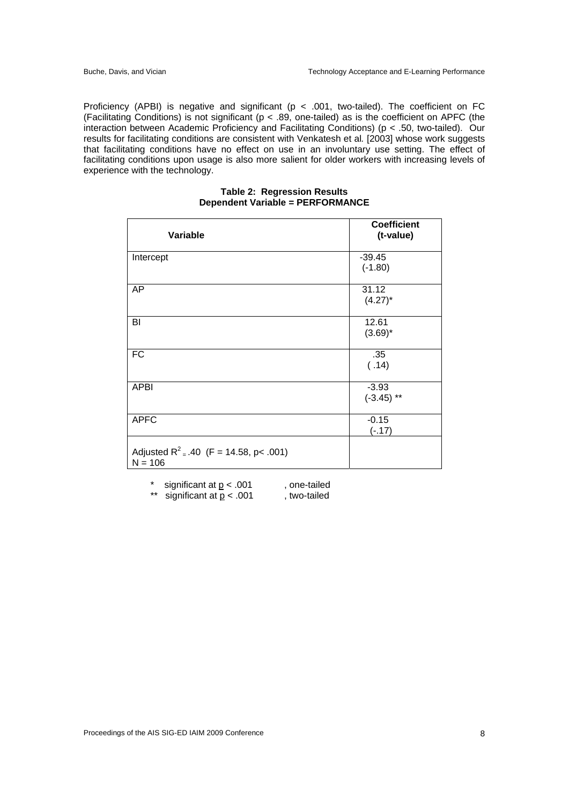Proficiency (APBI) is negative and significant ( $p < .001$ , two-tailed). The coefficient on FC (Facilitating Conditions) is not significant ( $p < .89$ , one-tailed) as is the coefficient on APFC (the interaction between Academic Proficiency and Facilitating Conditions) (p < .50, two-tailed). Our results for facilitating conditions are consistent with Venkatesh et al*.* [2003] whose work suggests that facilitating conditions have no effect on use in an involuntary use setting. The effect of facilitating conditions upon usage is also more salient for older workers with increasing levels of experience with the technology.

| Variable                                               | <b>Coefficient</b><br>(t-value) |
|--------------------------------------------------------|---------------------------------|
| Intercept                                              | $-39.45$<br>$(-1.80)$           |
| AP                                                     | 31.12<br>$(4.27)^*$             |
| BI                                                     | 12.61<br>$(3.69)^*$             |
| <b>FC</b>                                              | .35<br>(.14)                    |
| <b>APBI</b>                                            | $-3.93$<br>$(-3.45)$ **         |
| <b>APFC</b>                                            | $-0.15$<br>$(-.17)$             |
| Adjusted $R^2$ = .40 (F = 14.58, p< .001)<br>$N = 106$ |                                 |

#### **Table 2: Regression Results Dependent Variable = PERFORMANCE**

\* significant at  $p < .001$ , one-tailed

\*\* significant at  $p < .001$ , two-tailed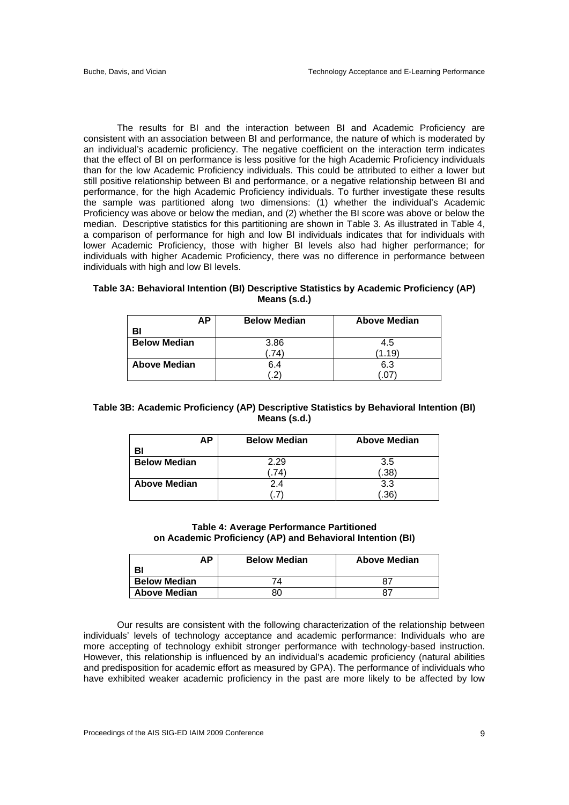The results for BI and the interaction between BI and Academic Proficiency are consistent with an association between BI and performance, the nature of which is moderated by an individual's academic proficiency. The negative coefficient on the interaction term indicates that the effect of BI on performance is less positive for the high Academic Proficiency individuals than for the low Academic Proficiency individuals. This could be attributed to either a lower but still positive relationship between BI and performance, or a negative relationship between BI and performance, for the high Academic Proficiency individuals. To further investigate these results the sample was partitioned along two dimensions: (1) whether the individual's Academic Proficiency was above or below the median, and (2) whether the BI score was above or below the median. Descriptive statistics for this partitioning are shown in Table 3. As illustrated in Table 4, a comparison of performance for high and low BI individuals indicates that for individuals with lower Academic Proficiency, those with higher BI levels also had higher performance; for individuals with higher Academic Proficiency, there was no difference in performance between individuals with high and low BI levels.

| <b>AP</b>           | <b>Below Median</b> | <b>Above Median</b> |
|---------------------|---------------------|---------------------|
| BI                  |                     |                     |
| <b>Below Median</b> | 3.86                | 4.5                 |
|                     | 74                  | (1.19)              |
| Above Median        | 6.4                 | 6.3                 |
|                     |                     |                     |

# **Table 3A: Behavioral Intention (BI) Descriptive Statistics by Academic Proficiency (AP) Means (s.d.)**

# **Table 3B: Academic Proficiency (AP) Descriptive Statistics by Behavioral Intention (BI) Means (s.d.)**

| AΡ                  | <b>Below Median</b> | <b>Above Median</b> |
|---------------------|---------------------|---------------------|
| BI                  |                     |                     |
| <b>Below Median</b> | 2.29                | 3.5                 |
|                     | .74                 | .38)                |
| <b>Above Median</b> | 2.4                 | 3.3                 |
|                     |                     | .36'                |

# **Table 4: Average Performance Partitioned on Academic Proficiency (AP) and Behavioral Intention (BI)**

| АP                  | <b>Below Median</b> | <b>Above Median</b> |
|---------------------|---------------------|---------------------|
| B                   |                     |                     |
| <b>Below Median</b> | 74                  | 87                  |
| <b>Above Median</b> | 80                  | -87                 |

 Our results are consistent with the following characterization of the relationship between individuals' levels of technology acceptance and academic performance: Individuals who are more accepting of technology exhibit stronger performance with technology-based instruction. However, this relationship is influenced by an individual's academic proficiency (natural abilities and predisposition for academic effort as measured by GPA). The performance of individuals who have exhibited weaker academic proficiency in the past are more likely to be affected by low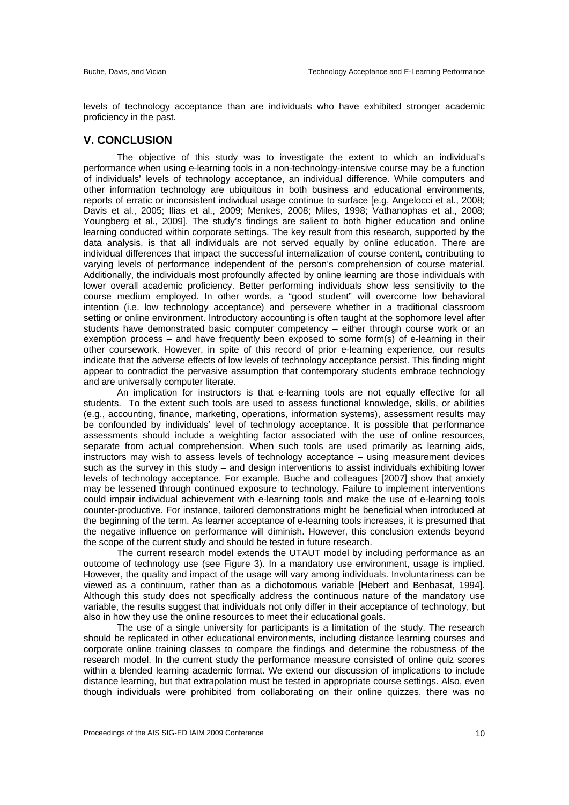levels of technology acceptance than are individuals who have exhibited stronger academic proficiency in the past.

# **V. CONCLUSION**

The objective of this study was to investigate the extent to which an individual's performance when using e-learning tools in a non-technology-intensive course may be a function of individuals' levels of technology acceptance, an individual difference. While computers and other information technology are ubiquitous in both business and educational environments, reports of erratic or inconsistent individual usage continue to surface [e.g, Angelocci et al., 2008; Davis et al., 2005; Ilias et al., 2009; Menkes, 2008; Miles, 1998; Vathanophas et al., 2008; Youngberg et al., 2009]. The study's findings are salient to both higher education and online learning conducted within corporate settings. The key result from this research, supported by the data analysis, is that all individuals are not served equally by online education. There are individual differences that impact the successful internalization of course content, contributing to varying levels of performance independent of the person's comprehension of course material. Additionally, the individuals most profoundly affected by online learning are those individuals with lower overall academic proficiency. Better performing individuals show less sensitivity to the course medium employed. In other words, a "good student" will overcome low behavioral intention (i.e. low technology acceptance) and persevere whether in a traditional classroom setting or online environment. Introductory accounting is often taught at the sophomore level after students have demonstrated basic computer competency – either through course work or an exemption process – and have frequently been exposed to some form(s) of e-learning in their other coursework. However, in spite of this record of prior e-learning experience, our results indicate that the adverse effects of low levels of technology acceptance persist. This finding might appear to contradict the pervasive assumption that contemporary students embrace technology and are universally computer literate.

 An implication for instructors is that e-learning tools are not equally effective for all students. To the extent such tools are used to assess functional knowledge, skills, or abilities (e.g., accounting, finance, marketing, operations, information systems), assessment results may be confounded by individuals' level of technology acceptance. It is possible that performance assessments should include a weighting factor associated with the use of online resources, separate from actual comprehension. When such tools are used primarily as learning aids, instructors may wish to assess levels of technology acceptance – using measurement devices such as the survey in this study – and design interventions to assist individuals exhibiting lower levels of technology acceptance. For example, Buche and colleagues [2007] show that anxiety may be lessened through continued exposure to technology. Failure to implement interventions could impair individual achievement with e-learning tools and make the use of e-learning tools counter-productive. For instance, tailored demonstrations might be beneficial when introduced at the beginning of the term. As learner acceptance of e-learning tools increases, it is presumed that the negative influence on performance will diminish. However, this conclusion extends beyond the scope of the current study and should be tested in future research.

 The current research model extends the UTAUT model by including performance as an outcome of technology use (see Figure 3). In a mandatory use environment, usage is implied. However, the quality and impact of the usage will vary among individuals. Involuntariness can be viewed as a continuum, rather than as a dichotomous variable [Hebert and Benbasat, 1994]. Although this study does not specifically address the continuous nature of the mandatory use variable, the results suggest that individuals not only differ in their acceptance of technology, but also in how they use the online resources to meet their educational goals.

 The use of a single university for participants is a limitation of the study. The research should be replicated in other educational environments, including distance learning courses and corporate online training classes to compare the findings and determine the robustness of the research model. In the current study the performance measure consisted of online quiz scores within a blended learning academic format. We extend our discussion of implications to include distance learning, but that extrapolation must be tested in appropriate course settings. Also, even though individuals were prohibited from collaborating on their online quizzes, there was no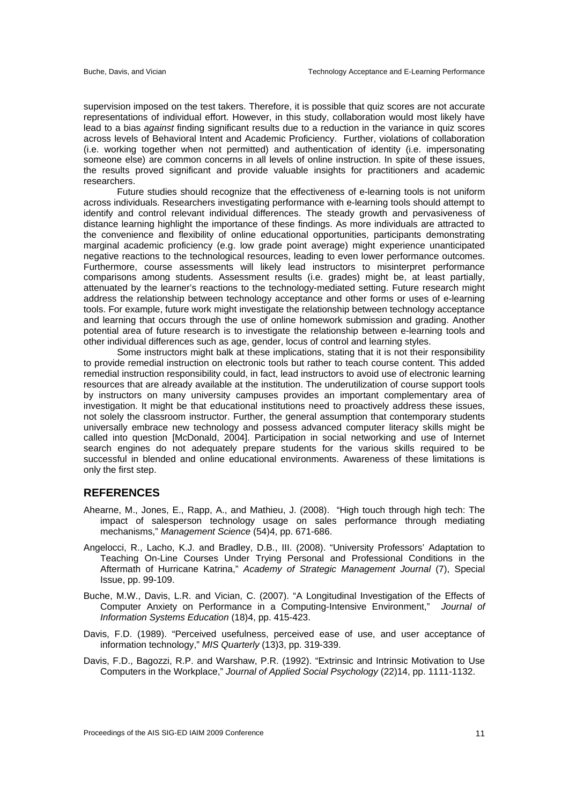supervision imposed on the test takers. Therefore, it is possible that quiz scores are not accurate representations of individual effort. However, in this study, collaboration would most likely have lead to a bias *against* finding significant results due to a reduction in the variance in quiz scores across levels of Behavioral Intent and Academic Proficiency. Further, violations of collaboration (i.e. working together when not permitted) and authentication of identity (i.e. impersonating someone else) are common concerns in all levels of online instruction. In spite of these issues, the results proved significant and provide valuable insights for practitioners and academic researchers.

 Future studies should recognize that the effectiveness of e-learning tools is not uniform across individuals. Researchers investigating performance with e-learning tools should attempt to identify and control relevant individual differences. The steady growth and pervasiveness of distance learning highlight the importance of these findings. As more individuals are attracted to the convenience and flexibility of online educational opportunities, participants demonstrating marginal academic proficiency (e.g. low grade point average) might experience unanticipated negative reactions to the technological resources, leading to even lower performance outcomes. Furthermore, course assessments will likely lead instructors to misinterpret performance comparisons among students. Assessment results (i.e. grades) might be, at least partially, attenuated by the learner's reactions to the technology-mediated setting. Future research might address the relationship between technology acceptance and other forms or uses of e-learning tools. For example, future work might investigate the relationship between technology acceptance and learning that occurs through the use of online homework submission and grading. Another potential area of future research is to investigate the relationship between e-learning tools and other individual differences such as age, gender, locus of control and learning styles.

 Some instructors might balk at these implications, stating that it is not their responsibility to provide remedial instruction on electronic tools but rather to teach course content. This added remedial instruction responsibility could, in fact, lead instructors to avoid use of electronic learning resources that are already available at the institution. The underutilization of course support tools by instructors on many university campuses provides an important complementary area of investigation. It might be that educational institutions need to proactively address these issues, not solely the classroom instructor. Further, the general assumption that contemporary students universally embrace new technology and possess advanced computer literacy skills might be called into question [McDonald, 2004]. Participation in social networking and use of Internet search engines do not adequately prepare students for the various skills required to be successful in blended and online educational environments. Awareness of these limitations is only the first step.

# **REFERENCES**

- Ahearne, M., Jones, E., Rapp, A., and Mathieu, J. (2008). "High touch through high tech: The impact of salesperson technology usage on sales performance through mediating mechanisms," *Management Science* (54)4, pp. 671-686.
- Angelocci, R., Lacho, K.J. and Bradley, D.B., III. (2008). "University Professors' Adaptation to Teaching On-Line Courses Under Trying Personal and Professional Conditions in the Aftermath of Hurricane Katrina," *Academy of Strategic Management Journal* (7), Special Issue, pp. 99-109.
- Buche, M.W., Davis, L.R. and Vician, C. (2007). "A Longitudinal Investigation of the Effects of Computer Anxiety on Performance in a Computing-Intensive Environment," *Journal of Information Systems Education* (18)4, pp. 415-423.
- Davis, F.D. (1989). "Perceived usefulness, perceived ease of use, and user acceptance of information technology," *MIS Quarterly* (13)3, pp. 319-339.
- Davis, F.D., Bagozzi, R.P. and Warshaw, P.R. (1992). "Extrinsic and Intrinsic Motivation to Use Computers in the Workplace," *Journal of Applied Social Psychology* (22)14, pp. 1111-1132.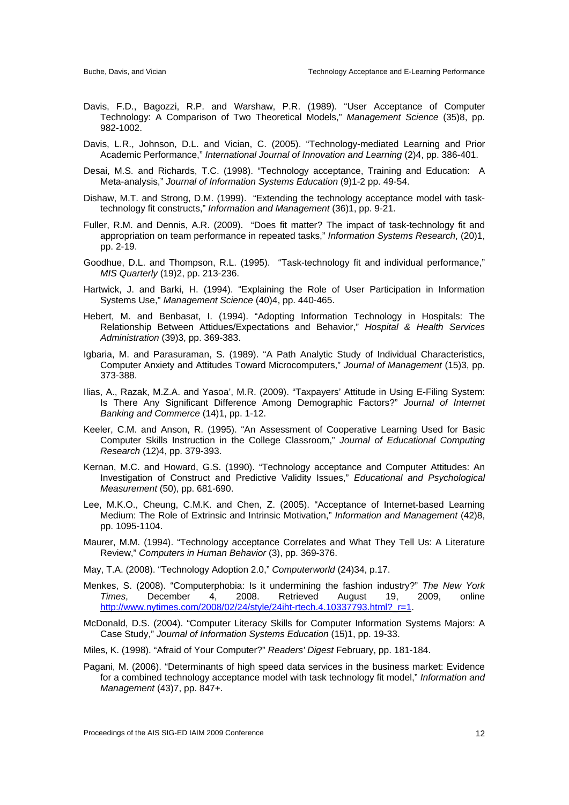- Davis, F.D., Bagozzi, R.P. and Warshaw, P.R. (1989). "User Acceptance of Computer Technology: A Comparison of Two Theoretical Models," *Management Science* (35)8, pp. 982-1002.
- Davis, L.R., Johnson, D.L. and Vician, C. (2005). "Technology-mediated Learning and Prior Academic Performance," *International Journal of Innovation and Learning* (2)4, pp. 386-401.
- Desai, M.S. and Richards, T.C. (1998). "Technology acceptance, Training and Education: A Meta-analysis," *Journal of Information Systems Education* (9)1-2 pp. 49-54.
- Dishaw, M.T. and Strong, D.M. (1999). "Extending the technology acceptance model with tasktechnology fit constructs," *Information and Management* (36)1, pp. 9-21.
- Fuller, R.M. and Dennis, A.R. (2009). "Does fit matter? The impact of task-technology fit and appropriation on team performance in repeated tasks," *Information Systems Research*, (20)1, pp. 2-19.
- Goodhue, D.L. and Thompson, R.L. (1995). "Task-technology fit and individual performance," *MIS Quarterly* (19)2, pp. 213-236.
- Hartwick, J. and Barki, H. (1994). "Explaining the Role of User Participation in Information Systems Use," *Management Science* (40)4, pp. 440-465.
- Hebert, M. and Benbasat, I. (1994). "Adopting Information Technology in Hospitals: The Relationship Between Attidues/Expectations and Behavior," *Hospital & Health Services Administration* (39)3, pp. 369-383.
- Igbaria, M. and Parasuraman, S. (1989). "A Path Analytic Study of Individual Characteristics, Computer Anxiety and Attitudes Toward Microcomputers," *Journal of Management* (15)3, pp. 373-388.
- Ilias, A., Razak, M.Z.A. and Yasoa', M.R. (2009). "Taxpayers' Attitude in Using E-Filing System: Is There Any Significant Difference Among Demographic Factors?" *Journal of Internet Banking and Commerce* (14)1, pp. 1-12.
- Keeler, C.M. and Anson, R. (1995). "An Assessment of Cooperative Learning Used for Basic Computer Skills Instruction in the College Classroom," *Journal of Educational Computing Research* (12)4, pp. 379-393.
- Kernan, M.C. and Howard, G.S. (1990). "Technology acceptance and Computer Attitudes: An Investigation of Construct and Predictive Validity Issues," *Educational and Psychological Measurement* (50), pp. 681-690.
- Lee, M.K.O., Cheung, C.M.K. and Chen, Z. (2005). "Acceptance of Internet-based Learning Medium: The Role of Extrinsic and Intrinsic Motivation," *Information and Management* (42)8, pp. 1095-1104.
- Maurer, M.M. (1994). "Technology acceptance Correlates and What They Tell Us: A Literature Review," *Computers in Human Behavior* (3), pp. 369-376.

May, T.A. (2008). "Technology Adoption 2.0," *Computerworld* (24)34, p.17.

- Menkes, S. (2008). "Computerphobia: Is it undermining the fashion industry?" *The New York Times*, December 4, 2008. Retrieved August 19, 2009, online http://www.nytimes.com/2008/02/24/style/24iht-rtech.4.10337793.html?\_r=1.
- McDonald, D.S. (2004). "Computer Literacy Skills for Computer Information Systems Majors: A Case Study," *Journal of Information Systems Education* (15)1, pp. 19-33.

Miles, K. (1998). "Afraid of Your Computer?" *Readers' Digest* February, pp. 181-184.

Pagani, M. (2006). "Determinants of high speed data services in the business market: Evidence for a combined technology acceptance model with task technology fit model," *Information and Management* (43)7, pp. 847+.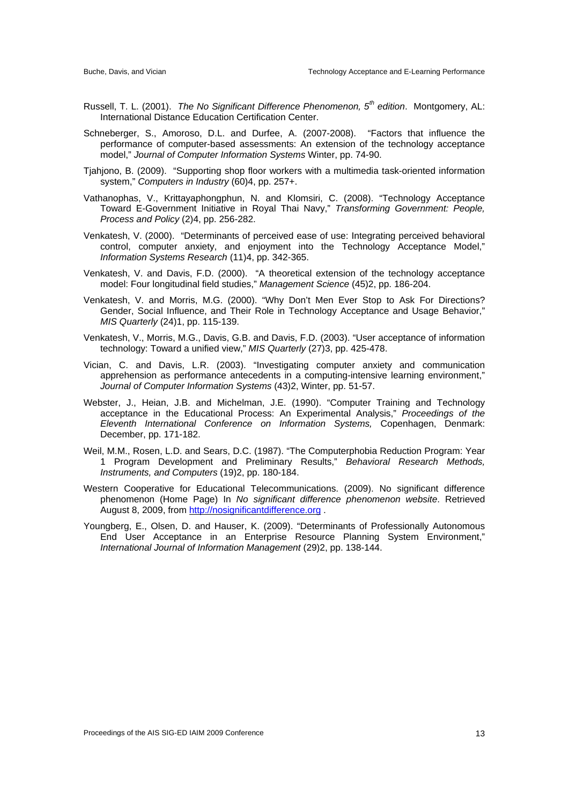- Russell, T. L. (2001). *The No Significant Difference Phenomenon, 5th edition*. Montgomery, AL: International Distance Education Certification Center.
- Schneberger, S., Amoroso, D.L. and Durfee, A. (2007-2008). "Factors that influence the performance of computer-based assessments: An extension of the technology acceptance model," *Journal of Computer Information Systems* Winter, pp. 74-90.
- Tjahjono, B. (2009). "Supporting shop floor workers with a multimedia task-oriented information system," *Computers in Industry* (60)4, pp. 257+.
- Vathanophas, V., Krittayaphongphun, N. and Klomsiri, C. (2008). "Technology Acceptance Toward E-Government Initiative in Royal Thai Navy," *Transforming Government: People, Process and Policy* (2)4, pp. 256-282.
- Venkatesh, V. (2000). "Determinants of perceived ease of use: Integrating perceived behavioral control, computer anxiety, and enjoyment into the Technology Acceptance Model," *Information Systems Research* (11)4, pp. 342-365.
- Venkatesh, V. and Davis, F.D. (2000). "A theoretical extension of the technology acceptance model: Four longitudinal field studies," *Management Science* (45)2, pp. 186-204.
- Venkatesh, V. and Morris, M.G. (2000). "Why Don't Men Ever Stop to Ask For Directions? Gender, Social Influence, and Their Role in Technology Acceptance and Usage Behavior," *MIS Quarterly* (24)1, pp. 115-139.
- Venkatesh, V., Morris, M.G., Davis, G.B. and Davis, F.D. (2003). "User acceptance of information technology: Toward a unified view," *MIS Quarterly* (27)3, pp. 425-478.
- Vician, C. and Davis, L.R. (2003). "Investigating computer anxiety and communication apprehension as performance antecedents in a computing-intensive learning environment," *Journal of Computer Information Systems* (43)2, Winter, pp. 51-57.
- Webster, J., Heian, J.B. and Michelman, J.E. (1990). "Computer Training and Technology acceptance in the Educational Process: An Experimental Analysis," *Proceedings of the Eleventh International Conference on Information Systems,* Copenhagen, Denmark: December, pp. 171-182.
- Weil, M.M., Rosen, L.D. and Sears, D.C. (1987). "The Computerphobia Reduction Program: Year 1 Program Development and Preliminary Results," *Behavioral Research Methods, Instruments, and Computers* (19)2, pp. 180-184.
- Western Cooperative for Educational Telecommunications. (2009). No significant difference phenomenon (Home Page) In *No significant difference phenomenon website*. Retrieved August 8, 2009, from http://nosignificantdifference.org .
- Youngberg, E., Olsen, D. and Hauser, K. (2009). "Determinants of Professionally Autonomous End User Acceptance in an Enterprise Resource Planning System Environment," *International Journal of Information Management* (29)2, pp. 138-144.